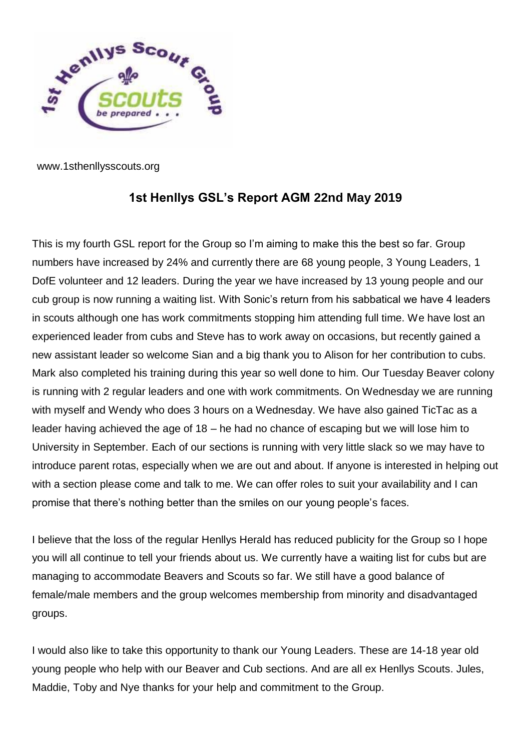

www.1sthenllysscouts.org

## **1st Henllys GSL's Report AGM 22nd May 2019**

This is my fourth GSL report for the Group so I'm aiming to make this the best so far. Group numbers have increased by 24% and currently there are 68 young people, 3 Young Leaders, 1 DofE volunteer and 12 leaders. During the year we have increased by 13 young people and our cub group is now running a waiting list. With Sonic's return from his sabbatical we have 4 leaders in scouts although one has work commitments stopping him attending full time. We have lost an experienced leader from cubs and Steve has to work away on occasions, but recently gained a new assistant leader so welcome Sian and a big thank you to Alison for her contribution to cubs. Mark also completed his training during this year so well done to him. Our Tuesday Beaver colony is running with 2 regular leaders and one with work commitments. On Wednesday we are running with myself and Wendy who does 3 hours on a Wednesday. We have also gained TicTac as a leader having achieved the age of 18 – he had no chance of escaping but we will lose him to University in September. Each of our sections is running with very little slack so we may have to introduce parent rotas, especially when we are out and about. If anyone is interested in helping out with a section please come and talk to me. We can offer roles to suit your availability and I can promise that there's nothing better than the smiles on our young people's faces.

I believe that the loss of the regular Henllys Herald has reduced publicity for the Group so I hope you will all continue to tell your friends about us. We currently have a waiting list for cubs but are managing to accommodate Beavers and Scouts so far. We still have a good balance of female/male members and the group welcomes membership from minority and disadvantaged groups.

I would also like to take this opportunity to thank our Young Leaders. These are 14-18 year old young people who help with our Beaver and Cub sections. And are all ex Henllys Scouts. Jules, Maddie, Toby and Nye thanks for your help and commitment to the Group.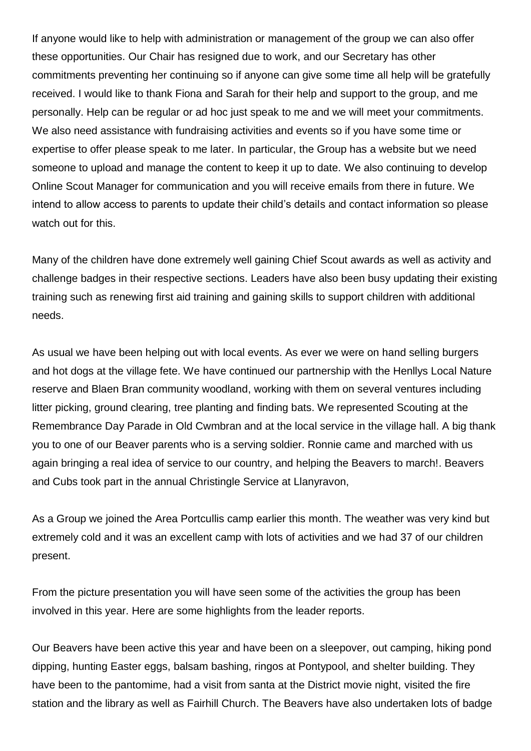If anyone would like to help with administration or management of the group we can also offer these opportunities. Our Chair has resigned due to work, and our Secretary has other commitments preventing her continuing so if anyone can give some time all help will be gratefully received. I would like to thank Fiona and Sarah for their help and support to the group, and me personally. Help can be regular or ad hoc just speak to me and we will meet your commitments. We also need assistance with fundraising activities and events so if you have some time or expertise to offer please speak to me later. In particular, the Group has a website but we need someone to upload and manage the content to keep it up to date. We also continuing to develop Online Scout Manager for communication and you will receive emails from there in future. We intend to allow access to parents to update their child's details and contact information so please watch out for this.

Many of the children have done extremely well gaining Chief Scout awards as well as activity and challenge badges in their respective sections. Leaders have also been busy updating their existing training such as renewing first aid training and gaining skills to support children with additional needs.

As usual we have been helping out with local events. As ever we were on hand selling burgers and hot dogs at the village fete. We have continued our partnership with the Henllys Local Nature reserve and Blaen Bran community woodland, working with them on several ventures including litter picking, ground clearing, tree planting and finding bats. We represented Scouting at the Remembrance Day Parade in Old Cwmbran and at the local service in the village hall. A big thank you to one of our Beaver parents who is a serving soldier. Ronnie came and marched with us again bringing a real idea of service to our country, and helping the Beavers to march!. Beavers and Cubs took part in the annual Christingle Service at Llanyravon,

As a Group we joined the Area Portcullis camp earlier this month. The weather was very kind but extremely cold and it was an excellent camp with lots of activities and we had 37 of our children present.

From the picture presentation you will have seen some of the activities the group has been involved in this year. Here are some highlights from the leader reports.

Our Beavers have been active this year and have been on a sleepover, out camping, hiking pond dipping, hunting Easter eggs, balsam bashing, ringos at Pontypool, and shelter building. They have been to the pantomime, had a visit from santa at the District movie night, visited the fire station and the library as well as Fairhill Church. The Beavers have also undertaken lots of badge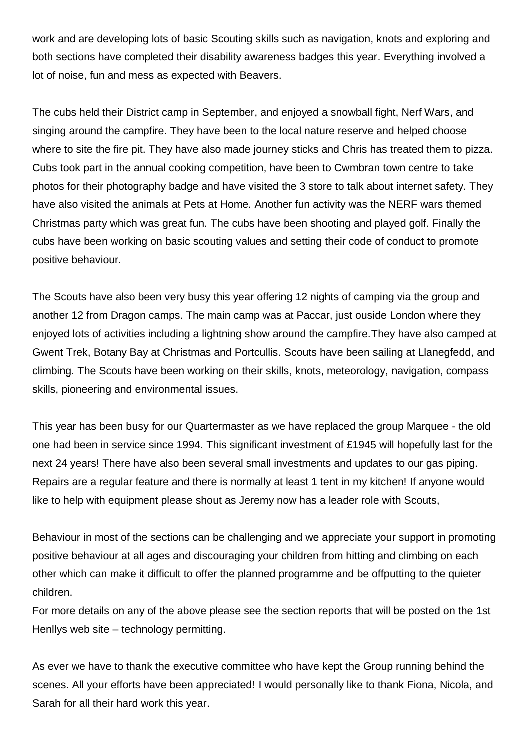work and are developing lots of basic Scouting skills such as navigation, knots and exploring and both sections have completed their disability awareness badges this year. Everything involved a lot of noise, fun and mess as expected with Beavers.

The cubs held their District camp in September, and enjoyed a snowball fight, Nerf Wars, and singing around the campfire. They have been to the local nature reserve and helped choose where to site the fire pit. They have also made journey sticks and Chris has treated them to pizza. Cubs took part in the annual cooking competition, have been to Cwmbran town centre to take photos for their photography badge and have visited the 3 store to talk about internet safety. They have also visited the animals at Pets at Home. Another fun activity was the NERF wars themed Christmas party which was great fun. The cubs have been shooting and played golf. Finally the cubs have been working on basic scouting values and setting their code of conduct to promote positive behaviour.

The Scouts have also been very busy this year offering 12 nights of camping via the group and another 12 from Dragon camps. The main camp was at Paccar, just ouside London where they enjoyed lots of activities including a lightning show around the campfire.They have also camped at Gwent Trek, Botany Bay at Christmas and Portcullis. Scouts have been sailing at Llanegfedd, and climbing. The Scouts have been working on their skills, knots, meteorology, navigation, compass skills, pioneering and environmental issues.

This year has been busy for our Quartermaster as we have replaced the group Marquee - the old one had been in service since 1994. This significant investment of £1945 will hopefully last for the next 24 years! There have also been several small investments and updates to our gas piping. Repairs are a regular feature and there is normally at least 1 tent in my kitchen! If anyone would like to help with equipment please shout as Jeremy now has a leader role with Scouts,

Behaviour in most of the sections can be challenging and we appreciate your support in promoting positive behaviour at all ages and discouraging your children from hitting and climbing on each other which can make it difficult to offer the planned programme and be offputting to the quieter children.

For more details on any of the above please see the section reports that will be posted on the 1st Henllys web site – technology permitting.

As ever we have to thank the executive committee who have kept the Group running behind the scenes. All your efforts have been appreciated! I would personally like to thank Fiona, Nicola, and Sarah for all their hard work this year.